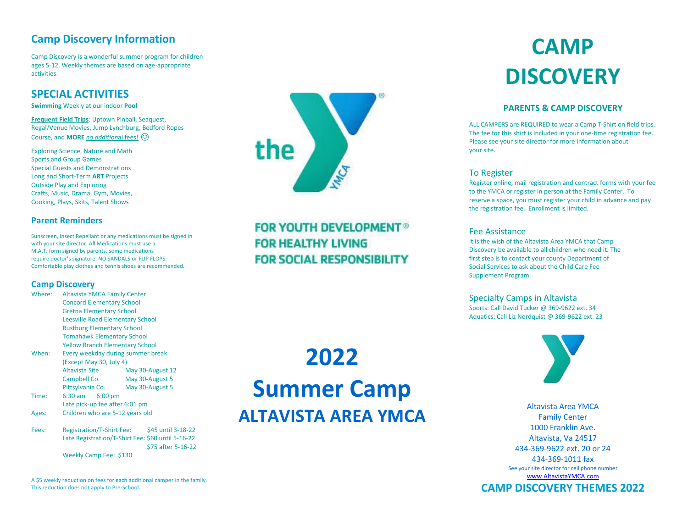### **Camp Discovery Information**

Camp Discovery is a wonderful summer program for children ages 5-12. Weekly themes are based on age-appropriate activities.

### **SPECIAL ACTIVITIES**

**Swimming** Weekly at our indoor **Pool**

**Frequent Field Trips**: Uptown Pinball, Seaquest, Regal/Venue Movies, Jump Lynchburg, Bedford Ropes Course, and **MORE** *no addition*al fees!

Exploring Science, Nature and Math Sports and Group Games Special Guests and Demonstrations Long and Short-Term **ART** Projects Outside Play and Exploring Crafts, Music, Drama, Gym, Movies, Cooking, Plays, Skits, Talent Shows

#### **Parent Reminders**

Sunscreen, Insect Repellant or any medications must be signed in with your site director. All Medications must use a M.A.T. form signed by parents, some medications require doctor's signature. NO SANDALS or FLIP FLOPS. Comfortable play clothes and tennis shoes are recommended.

#### **Camp Discovery**

| Where: | <b>Altavista YMCA Family Center</b>     |                 |                    |
|--------|-----------------------------------------|-----------------|--------------------|
|        | <b>Concord Elementary School</b>        |                 |                    |
|        | <b>Gretna Elementary School</b>         |                 |                    |
|        | <b>Leesville Road Elementary School</b> |                 |                    |
|        | <b>Rustburg Elementary School</b>       |                 |                    |
|        | <b>Tomahawk Elementary School</b>       |                 |                    |
|        | <b>Yellow Branch Elementary School</b>  |                 |                    |
| When:  | Every weekday during summer break       |                 |                    |
|        | (Except May 30, July 4)                 |                 |                    |
|        | Altavista Site                          |                 | May 30-August 12   |
|        | Campbell Co.                            | May 30-August 5 |                    |
|        | Pittsylvania Co.                        | May 30-August 5 |                    |
| Time:  | 6:30 am<br>$6:00$ pm                    |                 |                    |
|        | Late pick-up fee after 6:01 pm          |                 |                    |
| Ages:  | Children who are 5-12 years old         |                 |                    |
| Fees:  | <b>Registration/T-Shirt Fee:</b>        |                 | \$45 until 3-18-22 |
|        |                                         |                 |                    |

Late Registration/T-Shirt Fee: \$60 until 5-16-22 \$75 after 5-16-22 Weekly Camp Fee: \$130

A \$5 weekly reduction on fees for each additional camper in the family. This reduction does not apply to Pre-School.



## **FOR YOUTH DEVELOPMENT® FOR HEALTHY LIVING FOR SOCIAL RESPONSIBILITY**

# **2022 Summer Camp ALTAVISTA AREA YMCA**

# **CAMP DISCOVERY**

#### **PARENTS & CAMP DISCOVERY**

ALL CAMPERS are REQUIRED to wear a Camp T-Shirt on field trips. The fee for this shirt is included in your one-time registration fee. Please see your site director for more information about your site.

#### To Register

Register online, mail registration and contract forms with your fee to the YMCA or register in person at the Family Center. To reserve a space, you must register your child in advance and pay the registration fee. Enrollment is limited.

#### Fee Assistance

It is the wish of the Altavista Area YMCA that Camp Discovery be available to all children who need it. The first step is to contact your county Department of Social Services to ask about the Child Care Fee Supplement Program.

Specialty Camps in Altavista Sports: Call David Tucker @ 369-9622 ext. 34 Aquatics: Call Liz Nordquist @ 369-9622 ext. 23



Altavista Area YMCA Family Center 1000 Franklin Ave. Altavista, Va 24517 434-369-9622 ext. 20 or 24 434-369-1011 fax See your site director for cell phone number [www.AltavistaYMCA.com](http://www.altavistaymca.com/)

**CAMP DISCOVERY THEMES 2022**